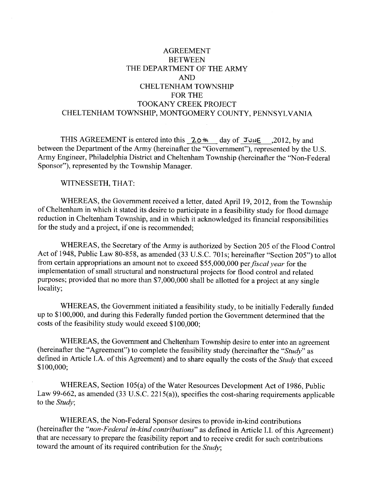# **AGREEMENT BETWEEN** THE DEPARTMENT OF THE ARMY **AND CHELTENHAM TOWNSHIP FOR THE** TOOKANY CREEK PROJECT CHELTENHAM TOWNSHIP, MONTGOMERY COUNTY, PENNSYLVANIA

THIS AGREEMENT is entered into this 20th day of JUNE \_2012, by and between the Department of the Army (hereinafter the "Government"), represented by the U.S. Army Engineer, Philadelphia District and Cheltenham Township (hereinafter the "Non-Federal Sponsor"), represented by the Township Manager.

#### WITNESSETH, THAT:

WHEREAS, the Government received a letter, dated April 19, 2012, from the Township of Cheltenham in which it stated its desire to participate in a feasibility study for flood damage reduction in Cheltenham Township, and in which it acknowledged its financial responsibilities for the study and a project, if one is recommended:

WHEREAS, the Secretary of the Army is authorized by Section 205 of the Flood Control Act of 1948, Public Law 80-858, as amended (33 U.S.C. 701s; hereinafter "Section 205") to allot from certain appropriations an amount not to exceed \$55,000,000 per fiscal year for the implementation of small structural and nonstructural projects for flood control and related purposes; provided that no more than \$7,000,000 shall be allotted for a project at any single locality;

WHEREAS, the Government initiated a feasibility study, to be initially Federally funded up to \$100,000, and during this Federally funded portion the Government determined that the costs of the feasibility study would exceed \$100,000:

WHEREAS, the Government and Cheltenham Township desire to enter into an agreement (hereinafter the "Agreement") to complete the feasibility study (hereinafter the "Study" as defined in Article I.A. of this Agreement) and to share equally the costs of the Study that exceed \$100,000;

WHEREAS, Section 105(a) of the Water Resources Development Act of 1986, Public Law 99-662, as amended (33 U.S.C. 2215(a)), specifies the cost-sharing requirements applicable to the *Study*;

WHEREAS, the Non-Federal Sponsor desires to provide in-kind contributions (hereinafter the "non-Federal in-kind contributions" as defined in Article I.I. of this Agreement) that are necessary to prepare the feasibility report and to receive credit for such contributions toward the amount of its required contribution for the Study;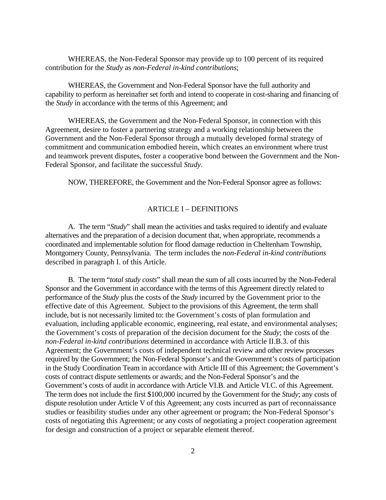WHEREAS, the Non-Federal Sponsor may provide up to 100 percent of its required contribution for the *Study* as *non-Federal in-kind contributions*;

 WHEREAS, the Government and Non-Federal Sponsor have the full authority and capability to perform as hereinafter set forth and intend to cooperate in cost-sharing and financing of the *Study* in accordance with the terms of this Agreement; and

 WHEREAS, the Government and the Non-Federal Sponsor, in connection with this Agreement, desire to foster a partnering strategy and a working relationship between the Government and the Non-Federal Sponsor through a mutually developed formal strategy of commitment and communication embodied herein, which creates an environment where trust and teamwork prevent disputes, foster a cooperative bond between the Government and the Non-Federal Sponsor, and facilitate the successful *Study*.

NOW, THEREFORE, the Government and the Non-Federal Sponsor agree as follows:

## ARTICLE I – DEFINITIONS

A. The term "*Study*" shall mean the activities and tasks required to identify and evaluate alternatives and the preparation of a decision document that, when appropriate, recommends a coordinated and implementable solution for flood damage reduction in Cheltenham Township, Montgomery County, Pennsylvania. The term includes the *non-Federal in-kind contributions* described in paragraph I. of this Article.

B. The term "*total study costs*" shall mean the sum of all costs incurred by the Non-Federal Sponsor and the Government in accordance with the terms of this Agreement directly related to performance of the *Study* plus the costs of the *Study* incurred by the Government prior to the effective date of this Agreement. Subject to the provisions of this Agreement, the term shall include, but is not necessarily limited to: the Government's costs of plan formulation and evaluation, including applicable economic, engineering, real estate, and environmental analyses; the Government's costs of preparation of the decision document for the *Study*; the costs of the *non-Federal in-kind contributions* determined in accordance with Article II.B.3. of this Agreement; the Government's costs of independent technical review and other review processes required by the Government; the Non-Federal Sponsor's and the Government's costs of participation in the Study Coordination Team in accordance with Article III of this Agreement; the Government's costs of contract dispute settlements or awards; and the Non-Federal Sponsor's and the Government's costs of audit in accordance with Article VI.B. and Article VI.C. of this Agreement. The term does not include the first \$100,000 incurred by the Government for the *Study*; any costs of dispute resolution under Article V of this Agreement; any costs incurred as part of reconnaissance studies or feasibility studies under any other agreement or program; the Non-Federal Sponsor's costs of negotiating this Agreement; or any costs of negotiating a project cooperation agreement for design and construction of a project or separable element thereof.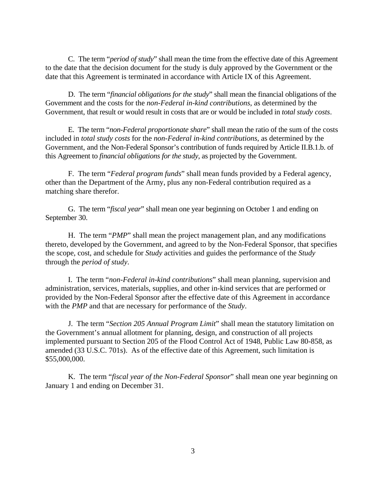C. The term "*period of study*" shall mean the time from the effective date of this Agreement to the date that the decision document for the study is duly approved by the Government or the date that this Agreement is terminated in accordance with Article IX of this Agreement.

 D. The term "*financial obligations for the study*" shall mean the financial obligations of the Government and the costs for the *non-Federal in-kind contributions*, as determined by the Government, that result or would result in costs that are or would be included in *total study costs*.

 E. The term "*non-Federal proportionate share*" shall mean the ratio of the sum of the costs included in *total study costs* for the *non-Federal in-kind contributions*, as determined by the Government, and the Non-Federal Sponsor's contribution of funds required by Article II.B.1.b. of this Agreement to *financial obligations for the study*, as projected by the Government.

F. The term "*Federal program funds*" shall mean funds provided by a Federal agency, other than the Department of the Army, plus any non-Federal contribution required as a matching share therefor.

 G. The term "*fiscal year*" shall mean one year beginning on October 1 and ending on September 30.

 H. The term "*PMP*" shall mean the project management plan, and any modifications thereto, developed by the Government, and agreed to by the Non-Federal Sponsor, that specifies the scope, cost, and schedule for *Study* activities and guides the performance of the *Study*  through the *period of study*.

I. The term "*non-Federal in-kind contributions*" shall mean planning, supervision and administration, services, materials, supplies, and other in-kind services that are performed or provided by the Non-Federal Sponsor after the effective date of this Agreement in accordance with the *PMP* and that are necessary for performance of the *Study*.

 J. The term "*Section 205 Annual Program Limit*" shall mean the statutory limitation on the Government's annual allotment for planning, design, and construction of all projects implemented pursuant to Section 205 of the Flood Control Act of 1948, Public Law 80-858, as amended (33 U.S.C. 701s). As of the effective date of this Agreement, such limitation is \$55,000,000.

K. The term "*fiscal year of the Non-Federal Sponsor*" shall mean one year beginning on January 1 and ending on December 31.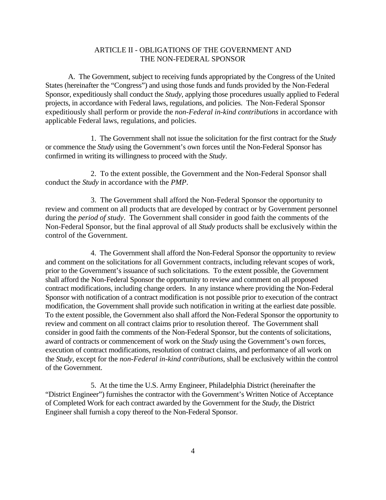## ARTICLE II - OBLIGATIONS OF THE GOVERNMENT AND THE NON-FEDERAL SPONSOR

A. The Government, subject to receiving funds appropriated by the Congress of the United States (hereinafter the "Congress") and using those funds and funds provided by the Non-Federal Sponsor, expeditiously shall conduct the *Study*, applying those procedures usually applied to Federal projects, in accordance with Federal laws, regulations, and policies. The Non-Federal Sponsor expeditiously shall perform or provide the *non-Federal in-kind contributions* in accordance with applicable Federal laws, regulations, and policies.

1. The Government shall not issue the solicitation for the first contract for the *Study* or commence the *Study* using the Government's own forces until the Non-Federal Sponsor has confirmed in writing its willingness to proceed with the *Study*.

2. To the extent possible, the Government and the Non-Federal Sponsor shall conduct the *Study* in accordance with the *PMP*.

3. The Government shall afford the Non-Federal Sponsor the opportunity to review and comment on all products that are developed by contract or by Government personnel during the *period of study*. The Government shall consider in good faith the comments of the Non-Federal Sponsor, but the final approval of all *Study* products shall be exclusively within the control of the Government.

4. The Government shall afford the Non-Federal Sponsor the opportunity to review and comment on the solicitations for all Government contracts, including relevant scopes of work, prior to the Government's issuance of such solicitations. To the extent possible, the Government shall afford the Non-Federal Sponsor the opportunity to review and comment on all proposed contract modifications, including change orders. In any instance where providing the Non-Federal Sponsor with notification of a contract modification is not possible prior to execution of the contract modification, the Government shall provide such notification in writing at the earliest date possible. To the extent possible, the Government also shall afford the Non-Federal Sponsor the opportunity to review and comment on all contract claims prior to resolution thereof. The Government shall consider in good faith the comments of the Non-Federal Sponsor, but the contents of solicitations, award of contracts or commencement of work on the *Study* using the Government's own forces, execution of contract modifications, resolution of contract claims, and performance of all work on the *Study*, except for the *non-Federal in-kind contributions*, shall be exclusively within the control of the Government.

5. At the time the U.S. Army Engineer, Philadelphia District (hereinafter the "District Engineer") furnishes the contractor with the Government's Written Notice of Acceptance of Completed Work for each contract awarded by the Government for the *Study*, the District Engineer shall furnish a copy thereof to the Non-Federal Sponsor.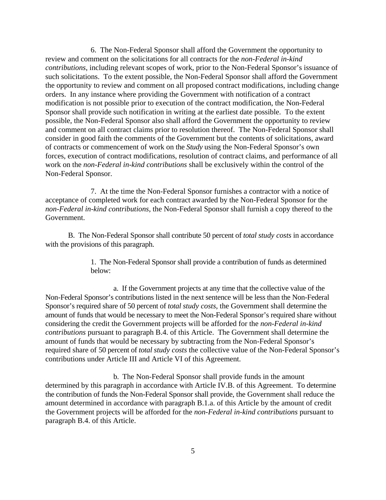6. The Non-Federal Sponsor shall afford the Government the opportunity to review and comment on the solicitations for all contracts for the *non-Federal in-kind contributions*, including relevant scopes of work, prior to the Non-Federal Sponsor's issuance of such solicitations. To the extent possible, the Non-Federal Sponsor shall afford the Government the opportunity to review and comment on all proposed contract modifications, including change orders. In any instance where providing the Government with notification of a contract modification is not possible prior to execution of the contract modification, the Non-Federal Sponsor shall provide such notification in writing at the earliest date possible. To the extent possible, the Non-Federal Sponsor also shall afford the Government the opportunity to review and comment on all contract claims prior to resolution thereof. The Non-Federal Sponsor shall consider in good faith the comments of the Government but the contents of solicitations, award of contracts or commencement of work on the *Study* using the Non-Federal Sponsor's own forces, execution of contract modifications, resolution of contract claims, and performance of all work on the *non-Federal in-kind contributions* shall be exclusively within the control of the Non-Federal Sponsor.

7. At the time the Non-Federal Sponsor furnishes a contractor with a notice of acceptance of completed work for each contract awarded by the Non-Federal Sponsor for the *non-Federal in-kind contributions*, the Non-Federal Sponsor shall furnish a copy thereof to the Government.

B. The Non-Federal Sponsor shall contribute 50 percent of *total study costs* in accordance with the provisions of this paragraph.

> 1. The Non-Federal Sponsor shall provide a contribution of funds as determined below:

a. If the Government projects at any time that the collective value of the Non-Federal Sponsor's contributions listed in the next sentence will be less than the Non-Federal Sponsor's required share of 50 percent of *total study costs*, the Government shall determine the amount of funds that would be necessary to meet the Non-Federal Sponsor's required share without considering the credit the Government projects will be afforded for the *non-Federal in-kind contributions* pursuant to paragraph B.4. of this Article. The Government shall determine the amount of funds that would be necessary by subtracting from the Non-Federal Sponsor's required share of 50 percent of *total study costs* the collective value of the Non-Federal Sponsor's contributions under Article III and Article VI of this Agreement.

b. The Non-Federal Sponsor shall provide funds in the amount determined by this paragraph in accordance with Article IV.B. of this Agreement. To determine the contribution of funds the Non-Federal Sponsor shall provide, the Government shall reduce the amount determined in accordance with paragraph B.1.a. of this Article by the amount of credit the Government projects will be afforded for the *non-Federal in-kind contributions* pursuant to paragraph B.4. of this Article.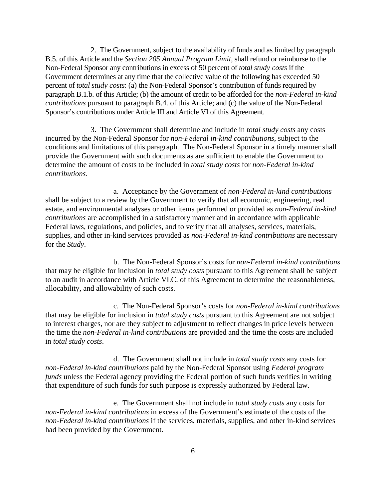2. The Government, subject to the availability of funds and as limited by paragraph B.5. of this Article and the *Section 205 Annual Program Limit*, shall refund or reimburse to the Non-Federal Sponsor any contributions in excess of 50 percent of *total study costs* if the Government determines at any time that the collective value of the following has exceeded 50 percent of *total study costs*: (a) the Non-Federal Sponsor's contribution of funds required by paragraph B.1.b. of this Article; (b) the amount of credit to be afforded for the *non-Federal in-kind contributions* pursuant to paragraph B.4. of this Article; and (c) the value of the Non-Federal Sponsor's contributions under Article III and Article VI of this Agreement.

3. The Government shall determine and include in *total study costs* any costs incurred by the Non-Federal Sponsor for *non-Federal in-kind contributions*, subject to the conditions and limitations of this paragraph. The Non-Federal Sponsor in a timely manner shall provide the Government with such documents as are sufficient to enable the Government to determine the amount of costs to be included in *total study costs* for *non-Federal in-kind contributions*.

a. Acceptance by the Government of *non-Federal in-kind contributions* shall be subject to a review by the Government to verify that all economic, engineering, real estate, and environmental analyses or other items performed or provided as *non-Federal in-kind contributions* are accomplished in a satisfactory manner and in accordance with applicable Federal laws, regulations, and policies, and to verify that all analyses, services, materials, supplies, and other in-kind services provided as *non-Federal in-kind contributions* are necessary for the *Study*.

b. The Non-Federal Sponsor's costs for *non-Federal in-kind contributions*  that may be eligible for inclusion in *total study costs* pursuant to this Agreement shall be subject to an audit in accordance with Article VI.C. of this Agreement to determine the reasonableness, allocability, and allowability of such costs.

c. The Non-Federal Sponsor's costs for *non-Federal in-kind contributions* that may be eligible for inclusion in *total study costs* pursuant to this Agreement are not subject to interest charges, nor are they subject to adjustment to reflect changes in price levels between the time the *non-Federal in-kind contributions* are provided and the time the costs are included in *total study costs*.

d. The Government shall not include in *total study costs* any costs for *non-Federal in-kind contributions* paid by the Non-Federal Sponsor using *Federal program funds* unless the Federal agency providing the Federal portion of such funds verifies in writing that expenditure of such funds for such purpose is expressly authorized by Federal law.

e. The Government shall not include in *total study costs* any costs for *non-Federal in-kind contributions* in excess of the Government's estimate of the costs of the *non-Federal in-kind contributions* if the services, materials, supplies, and other in-kind services had been provided by the Government.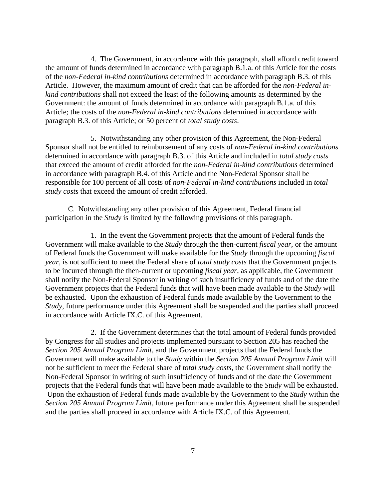4. The Government, in accordance with this paragraph, shall afford credit toward the amount of funds determined in accordance with paragraph B.1.a. of this Article for the costs of the *non-Federal in-kind contributions* determined in accordance with paragraph B.3. of this Article. However, the maximum amount of credit that can be afforded for the *non-Federal inkind contributions* shall not exceed the least of the following amounts as determined by the Government: the amount of funds determined in accordance with paragraph B.1.a. of this Article; the costs of the *non-Federal in-kind contributions* determined in accordance with paragraph B.3. of this Article; or 50 percent of *total study costs*.

5. Notwithstanding any other provision of this Agreement, the Non-Federal Sponsor shall not be entitled to reimbursement of any costs of *non-Federal in-kind contributions* determined in accordance with paragraph B.3. of this Article and included in *total study costs* that exceed the amount of credit afforded for the *non-Federal in-kind contributions* determined in accordance with paragraph B.4. of this Article and the Non-Federal Sponsor shall be responsible for 100 percent of all costs of *non-Federal in-kind contributions* included in *total study costs* that exceed the amount of credit afforded.

 C. Notwithstanding any other provision of this Agreement, Federal financial participation in the *Study* is limited by the following provisions of this paragraph.

1. In the event the Government projects that the amount of Federal funds the Government will make available to the *Study* through the then-current *fiscal year*, or the amount of Federal funds the Government will make available for the *Study* through the upcoming *fiscal year*, is not sufficient to meet the Federal share of *total study costs* that the Government projects to be incurred through the then-current or upcoming *fiscal year*, as applicable, the Government shall notify the Non-Federal Sponsor in writing of such insufficiency of funds and of the date the Government projects that the Federal funds that will have been made available to the *Study* will be exhausted. Upon the exhaustion of Federal funds made available by the Government to the *Study*, future performance under this Agreement shall be suspended and the parties shall proceed in accordance with Article IX.C. of this Agreement.

 2. If the Government determines that the total amount of Federal funds provided by Congress for all studies and projects implemented pursuant to Section 205 has reached the *Section 205 Annual Program Limit*, and the Government projects that the Federal funds the Government will make available to the *Study* within the *Section 205 Annual Program Limit* will not be sufficient to meet the Federal share of *total study costs*, the Government shall notify the Non-Federal Sponsor in writing of such insufficiency of funds and of the date the Government projects that the Federal funds that will have been made available to the *Study* will be exhausted. Upon the exhaustion of Federal funds made available by the Government to the *Study* within the *Section 205 Annual Program Limit*, future performance under this Agreement shall be suspended and the parties shall proceed in accordance with Article IX.C. of this Agreement.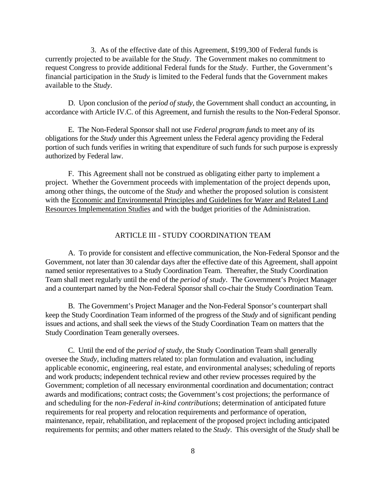3. As of the effective date of this Agreement, \$199,300 of Federal funds is currently projected to be available for the *Study*. The Government makes no commitment to request Congress to provide additional Federal funds for the *Study*. Further, the Government's financial participation in the *Study* is limited to the Federal funds that the Government makes available to the *Study*.

D. Upon conclusion of the *period of study*, the Government shall conduct an accounting, in accordance with Article IV.C. of this Agreement, and furnish the results to the Non-Federal Sponsor.

E. The Non-Federal Sponsor shall not use *Federal program funds* to meet any of its obligations for the *Study* under this Agreement unless the Federal agency providing the Federal portion of such funds verifies in writing that expenditure of such funds for such purpose is expressly authorized by Federal law.

F. This Agreement shall not be construed as obligating either party to implement a project. Whether the Government proceeds with implementation of the project depends upon, among other things, the outcome of the *Study* and whether the proposed solution is consistent with the Economic and Environmental Principles and Guidelines for Water and Related Land Resources Implementation Studies and with the budget priorities of the Administration.

## ARTICLE III - STUDY COORDINATION TEAM

 A. To provide for consistent and effective communication, the Non-Federal Sponsor and the Government, not later than 30 calendar days after the effective date of this Agreement, shall appoint named senior representatives to a Study Coordination Team. Thereafter, the Study Coordination Team shall meet regularly until the end of the *period of study*. The Government's Project Manager and a counterpart named by the Non-Federal Sponsor shall co-chair the Study Coordination Team.

B. The Government's Project Manager and the Non-Federal Sponsor's counterpart shall keep the Study Coordination Team informed of the progress of the *Study* and of significant pending issues and actions, and shall seek the views of the Study Coordination Team on matters that the Study Coordination Team generally oversees.

C. Until the end of the *period of study*, the Study Coordination Team shall generally oversee the *Study*, including matters related to: plan formulation and evaluation, including applicable economic, engineering, real estate, and environmental analyses; scheduling of reports and work products; independent technical review and other review processes required by the Government; completion of all necessary environmental coordination and documentation; contract awards and modifications; contract costs; the Government's cost projections; the performance of and scheduling for the *non-Federal in-kind contributions*; determination of anticipated future requirements for real property and relocation requirements and performance of operation, maintenance, repair, rehabilitation, and replacement of the proposed project including anticipated requirements for permits; and other matters related to the *Study*. This oversight of the *Study* shall be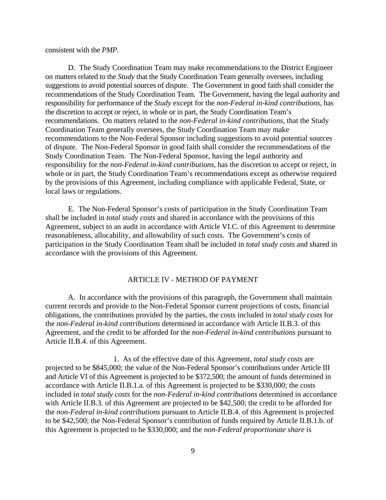consistent with the *PMP*.

D. The Study Coordination Team may make recommendations to the District Engineer on matters related to the *Study* that the Study Coordination Team generally oversees, including suggestions to avoid potential sources of dispute. The Government in good faith shall consider the recommendations of the Study Coordination Team. The Government, having the legal authority and responsibility for performance of the *Study* except for the *non-Federal in-kind contributions*, has the discretion to accept or reject, in whole or in part, the Study Coordination Team's recommendations. On matters related to the *non-Federal in-kind contributions*, that the Study Coordination Team generally oversees, the Study Coordination Team may make recommendations to the Non-Federal Sponsor including suggestions to avoid potential sources of dispute. The Non-Federal Sponsor in good faith shall consider the recommendations of the Study Coordination Team. The Non-Federal Sponsor, having the legal authority and responsibility for the *non-Federal in-kind contributions*, has the discretion to accept or reject, in whole or in part, the Study Coordination Team's recommendations except as otherwise required by the provisions of this Agreement, including compliance with applicable Federal, State, or local laws or regulations.

E. The Non-Federal Sponsor's costs of participation in the Study Coordination Team shall be included in *total study costs* and shared in accordance with the provisions of this Agreement, subject to an audit in accordance with Article VI.C. of this Agreement to determine reasonableness, allocability, and allowability of such costs. The Government's costs of participation in the Study Coordination Team shall be included in *total study costs* and shared in accordance with the provisions of this Agreement.

## ARTICLE IV - METHOD OF PAYMENT

A. In accordance with the provisions of this paragraph, the Government shall maintain current records and provide to the Non-Federal Sponsor current projections of costs, financial obligations, the contributions provided by the parties, the costs included in *total study costs* for the *non-Federal in-kind contributions* determined in accordance with Article II.B.3. of this Agreement, and the credit to be afforded for the *non-Federal in-kind contributions* pursuant to Article II.B.4. of this Agreement.

1. As of the effective date of this Agreement, *total study costs* are projected to be \$845,000; the value of the Non-Federal Sponsor's contributions under Article III and Article VI of this Agreement is projected to be \$372,500; the amount of funds determined in accordance with Article II.B.1.a. of this Agreement is projected to be \$330,000; the costs included in *total study costs* for the *non-Federal in-kind contributions* determined in accordance with Article II.B.3. of this Agreement are projected to be \$42,500; the credit to be afforded for the *non-Federal in-kind contributions* pursuant to Article II.B.4. of this Agreement is projected to be \$42,500; the Non-Federal Sponsor's contribution of funds required by Article II.B.1.b. of this Agreement is projected to be \$330,000; and the *non-Federal proportionate share* is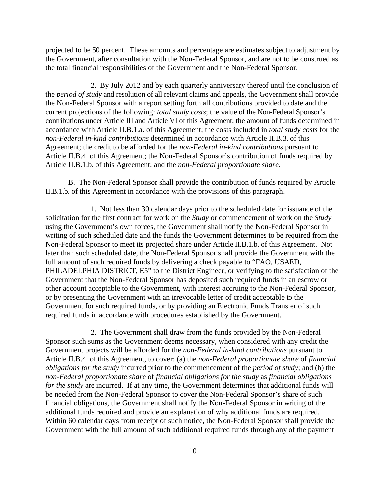projected to be 50 percent. These amounts and percentage are estimates subject to adjustment by the Government, after consultation with the Non-Federal Sponsor, and are not to be construed as the total financial responsibilities of the Government and the Non-Federal Sponsor.

2. By July 2012 and by each quarterly anniversary thereof until the conclusion of the *period of study* and resolution of all relevant claims and appeals, the Government shall provide the Non-Federal Sponsor with a report setting forth all contributions provided to date and the current projections of the following: *total study costs*; the value of the Non-Federal Sponsor's contributions under Article III and Article VI of this Agreement; the amount of funds determined in accordance with Article II.B.1.a. of this Agreement; the costs included in *total study costs* for the *non-Federal in-kind contributions* determined in accordance with Article II.B.3. of this Agreement; the credit to be afforded for the *non-Federal in-kind contributions* pursuant to Article II.B.4. of this Agreement; the Non-Federal Sponsor's contribution of funds required by Article II.B.1.b. of this Agreement; and the *non-Federal proportionate share*.

B. The Non-Federal Sponsor shall provide the contribution of funds required by Article II.B.1.b. of this Agreement in accordance with the provisions of this paragraph.

1. Not less than 30 calendar days prior to the scheduled date for issuance of the solicitation for the first contract for work on the *Study* or commencement of work on the *Study* using the Government's own forces, the Government shall notify the Non-Federal Sponsor in writing of such scheduled date and the funds the Government determines to be required from the Non-Federal Sponsor to meet its projected share under Article II.B.1.b. of this Agreement. Not later than such scheduled date, the Non-Federal Sponsor shall provide the Government with the full amount of such required funds by delivering a check payable to "FAO, USAED, PHILADELPHIA DISTRICT, E5" to the District Engineer, or verifying to the satisfaction of the Government that the Non-Federal Sponsor has deposited such required funds in an escrow or other account acceptable to the Government, with interest accruing to the Non-Federal Sponsor, or by presenting the Government with an irrevocable letter of credit acceptable to the Government for such required funds, or by providing an Electronic Funds Transfer of such required funds in accordance with procedures established by the Government.

2. The Government shall draw from the funds provided by the Non-Federal Sponsor such sums as the Government deems necessary, when considered with any credit the Government projects will be afforded for the *non-Federal in-kind contributions* pursuant to Article II.B.4. of this Agreement, to cover: (a) the *non-Federal proportionate share* of *financial obligations for the study* incurred prior to the commencement of the *period of study*; and (b) the *non-Federal proportionate share* of *financial obligations for the study* as *financial obligations for the study* are incurred. If at any time, the Government determines that additional funds will be needed from the Non-Federal Sponsor to cover the Non-Federal Sponsor's share of such financial obligations, the Government shall notify the Non-Federal Sponsor in writing of the additional funds required and provide an explanation of why additional funds are required. Within 60 calendar days from receipt of such notice, the Non-Federal Sponsor shall provide the Government with the full amount of such additional required funds through any of the payment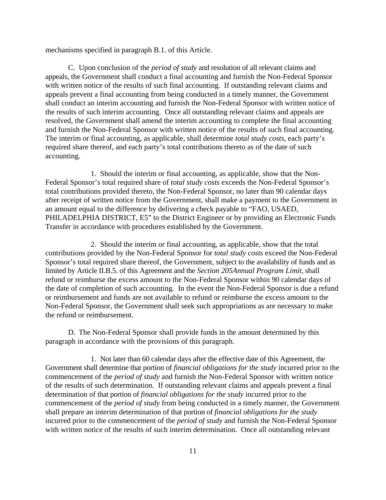mechanisms specified in paragraph B.1. of this Article.

C. Upon conclusion of the *period of study* and resolution of all relevant claims and appeals, the Government shall conduct a final accounting and furnish the Non-Federal Sponsor with written notice of the results of such final accounting. If outstanding relevant claims and appeals prevent a final accounting from being conducted in a timely manner, the Government shall conduct an interim accounting and furnish the Non-Federal Sponsor with written notice of the results of such interim accounting. Once all outstanding relevant claims and appeals are resolved, the Government shall amend the interim accounting to complete the final accounting and furnish the Non-Federal Sponsor with written notice of the results of such final accounting. The interim or final accounting, as applicable, shall determine *total study costs*, each party's required share thereof, and each party's total contributions thereto as of the date of such accounting.

1. Should the interim or final accounting, as applicable, show that the Non-Federal Sponsor's total required share of *total study costs* exceeds the Non-Federal Sponsor's total contributions provided thereto, the Non-Federal Sponsor, no later than 90 calendar days after receipt of written notice from the Government, shall make a payment to the Government in an amount equal to the difference by delivering a check payable to "FAO, USAED, PHILADELPHIA DISTRICT, E5" to the District Engineer or by providing an Electronic Funds Transfer in accordance with procedures established by the Government.

2. Should the interim or final accounting, as applicable, show that the total contributions provided by the Non-Federal Sponsor for *total study costs* exceed the Non-Federal Sponsor's total required share thereof, the Government, subject to the availability of funds and as limited by Article II.B.5. of this Agreement and the *Section 205Annual Program Limit*, shall refund or reimburse the excess amount to the Non-Federal Sponsor within 90 calendar days of the date of completion of such accounting. In the event the Non-Federal Sponsor is due a refund or reimbursement and funds are not available to refund or reimburse the excess amount to the Non-Federal Sponsor, the Government shall seek such appropriations as are necessary to make the refund or reimbursement.

 D. The Non-Federal Sponsor shall provide funds in the amount determined by this paragraph in accordance with the provisions of this paragraph.

 1. Not later than 60 calendar days after the effective date of this Agreement, the Government shall determine that portion of *financial obligations for the study* incurred prior to the commencement of the *period of study* and furnish the Non-Federal Sponsor with written notice of the results of such determination. If outstanding relevant claims and appeals prevent a final determination of that portion of *financial obligations for the study* incurred prior to the commencement of the *period of study* from being conducted in a timely manner, the Government shall prepare an interim determination of that portion of *financial obligations for the study* incurred prior to the commencement of the *period of study* and furnish the Non-Federal Sponsor with written notice of the results of such interim determination. Once all outstanding relevant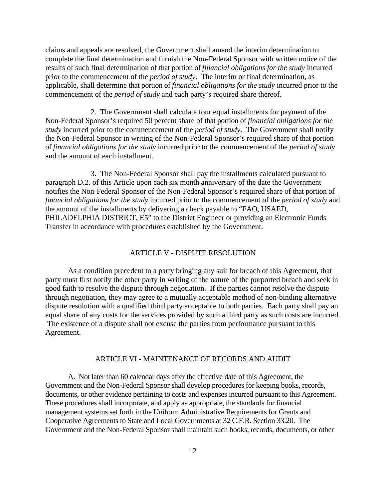claims and appeals are resolved, the Government shall amend the interim determination to complete the final determination and furnish the Non-Federal Sponsor with written notice of the results of such final determination of that portion of *financial obligations for the study* incurred prior to the commencement of the *period of study*. The interim or final determination, as applicable, shall determine that portion of *financial obligations for the study* incurred prior to the commencement of the *period of study* and each party's required share thereof.

2. The Government shall calculate four equal installments for payment of the Non-Federal Sponsor's required 50 percent share of that portion of *financial obligations for the study* incurred prior to the commencement of the *period of study*. The Government shall notify the Non-Federal Sponsor in writing of the Non-Federal Sponsor's required share of that portion of *financial obligations for the study* incurred prior to the commencement of the *period of study* and the amount of each installment.

3. The Non-Federal Sponsor shall pay the installments calculated pursuant to paragraph D.2. of this Article upon each six month anniversary of the date the Government notifies the Non-Federal Sponsor of the Non-Federal Sponsor's required share of that portion of *financial obligations for the study* incurred prior to the commencement of the *period of study* and the amount of the installments by delivering a check payable to "FAO, USAED, PHILADELPHIA DISTRICT, E5" to the District Engineer or providing an Electronic Funds Transfer in accordance with procedures established by the Government.

## ARTICLE V - DISPUTE RESOLUTION

As a condition precedent to a party bringing any suit for breach of this Agreement, that party must first notify the other party in writing of the nature of the purported breach and seek in good faith to resolve the dispute through negotiation. If the parties cannot resolve the dispute through negotiation, they may agree to a mutually acceptable method of non-binding alternative dispute resolution with a qualified third party acceptable to both parties. Each party shall pay an equal share of any costs for the services provided by such a third party as such costs are incurred. The existence of a dispute shall not excuse the parties from performance pursuant to this Agreement.

#### ARTICLE VI - MAINTENANCE OF RECORDS AND AUDIT

A. Not later than 60 calendar days after the effective date of this Agreement, the Government and the Non-Federal Sponsor shall develop procedures for keeping books, records, documents, or other evidence pertaining to costs and expenses incurred pursuant to this Agreement. These procedures shall incorporate, and apply as appropriate, the standards for financial management systems set forth in the Uniform Administrative Requirements for Grants and Cooperative Agreements to State and Local Governments at 32 C.F.R. Section 33.20. The Government and the Non-Federal Sponsor shall maintain such books, records, documents, or other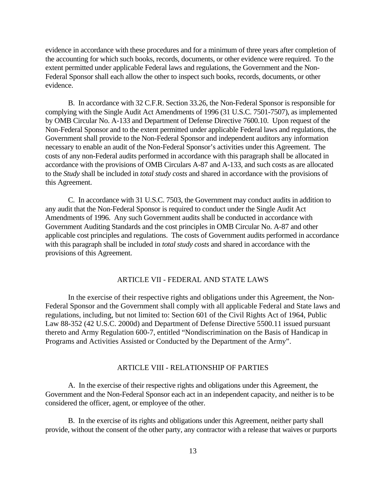evidence in accordance with these procedures and for a minimum of three years after completion of the accounting for which such books, records, documents, or other evidence were required. To the extent permitted under applicable Federal laws and regulations, the Government and the Non-Federal Sponsor shall each allow the other to inspect such books, records, documents, or other evidence.

B. In accordance with 32 C.F.R. Section 33.26, the Non-Federal Sponsor is responsible for complying with the Single Audit Act Amendments of 1996 (31 U.S.C. 7501-7507), as implemented by OMB Circular No. A-133 and Department of Defense Directive 7600.10. Upon request of the Non-Federal Sponsor and to the extent permitted under applicable Federal laws and regulations, the Government shall provide to the Non-Federal Sponsor and independent auditors any information necessary to enable an audit of the Non-Federal Sponsor's activities under this Agreement. The costs of any non-Federal audits performed in accordance with this paragraph shall be allocated in accordance with the provisions of OMB Circulars A-87 and A-133, and such costs as are allocated to the *Study* shall be included in *total study costs* and shared in accordance with the provisions of this Agreement.

C. In accordance with 31 U.S.C. 7503, the Government may conduct audits in addition to any audit that the Non-Federal Sponsor is required to conduct under the Single Audit Act Amendments of 1996. Any such Government audits shall be conducted in accordance with Government Auditing Standards and the cost principles in OMB Circular No. A-87 and other applicable cost principles and regulations. The costs of Government audits performed in accordance with this paragraph shall be included in *total study costs* and shared in accordance with the provisions of this Agreement.

## ARTICLE VII - FEDERAL AND STATE LAWS

In the exercise of their respective rights and obligations under this Agreement, the Non-Federal Sponsor and the Government shall comply with all applicable Federal and State laws and regulations, including, but not limited to: Section 601 of the Civil Rights Act of 1964, Public Law 88-352 (42 U.S.C. 2000d) and Department of Defense Directive 5500.11 issued pursuant thereto and Army Regulation 600-7, entitled "Nondiscrimination on the Basis of Handicap in Programs and Activities Assisted or Conducted by the Department of the Army".

## ARTICLE VIII - RELATIONSHIP OF PARTIES

A. In the exercise of their respective rights and obligations under this Agreement, the Government and the Non-Federal Sponsor each act in an independent capacity, and neither is to be considered the officer, agent, or employee of the other.

B. In the exercise of its rights and obligations under this Agreement, neither party shall provide, without the consent of the other party, any contractor with a release that waives or purports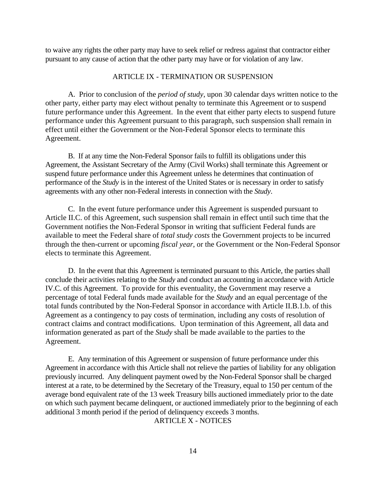to waive any rights the other party may have to seek relief or redress against that contractor either pursuant to any cause of action that the other party may have or for violation of any law.

## ARTICLE IX - TERMINATION OR SUSPENSION

A. Prior to conclusion of the *period of study*, upon 30 calendar days written notice to the other party, either party may elect without penalty to terminate this Agreement or to suspend future performance under this Agreement. In the event that either party elects to suspend future performance under this Agreement pursuant to this paragraph, such suspension shall remain in effect until either the Government or the Non-Federal Sponsor elects to terminate this Agreement.

B. If at any time the Non-Federal Sponsor fails to fulfill its obligations under this Agreement, the Assistant Secretary of the Army (Civil Works) shall terminate this Agreement or suspend future performance under this Agreement unless he determines that continuation of performance of the *Study* is in the interest of the United States or is necessary in order to satisfy agreements with any other non-Federal interests in connection with the *Study*.

C. In the event future performance under this Agreement is suspended pursuant to Article II.C. of this Agreement, such suspension shall remain in effect until such time that the Government notifies the Non-Federal Sponsor in writing that sufficient Federal funds are available to meet the Federal share of *total study costs* the Government projects to be incurred through the then-current or upcoming *fiscal year*, or the Government or the Non-Federal Sponsor elects to terminate this Agreement.

D. In the event that this Agreement is terminated pursuant to this Article, the parties shall conclude their activities relating to the *Study* and conduct an accounting in accordance with Article IV.C. of this Agreement. To provide for this eventuality, the Government may reserve a percentage of total Federal funds made available for the *Study* and an equal percentage of the total funds contributed by the Non-Federal Sponsor in accordance with Article II.B.1.b. of this Agreement as a contingency to pay costs of termination, including any costs of resolution of contract claims and contract modifications. Upon termination of this Agreement, all data and information generated as part of the *Study* shall be made available to the parties to the Agreement.

E. Any termination of this Agreement or suspension of future performance under this Agreement in accordance with this Article shall not relieve the parties of liability for any obligation previously incurred. Any delinquent payment owed by the Non-Federal Sponsor shall be charged interest at a rate, to be determined by the Secretary of the Treasury, equal to 150 per centum of the average bond equivalent rate of the 13 week Treasury bills auctioned immediately prior to the date on which such payment became delinquent, or auctioned immediately prior to the beginning of each additional 3 month period if the period of delinquency exceeds 3 months.

ARTICLE X - NOTICES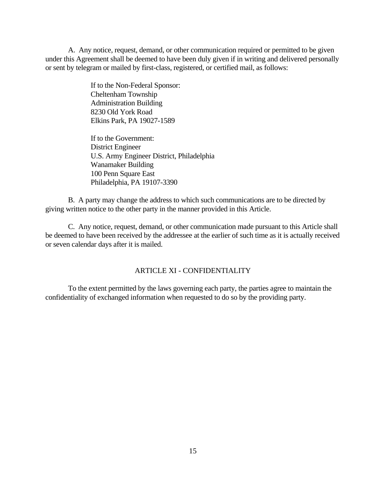A. Any notice, request, demand, or other communication required or permitted to be given under this Agreement shall be deemed to have been duly given if in writing and delivered personally or sent by telegram or mailed by first-class, registered, or certified mail, as follows:

> If to the Non-Federal Sponsor: Cheltenham Township Administration Building 8230 Old York Road Elkins Park, PA 19027-1589

If to the Government: District Engineer U.S. Army Engineer District, Philadelphia Wanamaker Building 100 Penn Square East Philadelphia, PA 19107-3390

B. A party may change the address to which such communications are to be directed by giving written notice to the other party in the manner provided in this Article.

C. Any notice, request, demand, or other communication made pursuant to this Article shall be deemed to have been received by the addressee at the earlier of such time as it is actually received or seven calendar days after it is mailed.

# ARTICLE XI - CONFIDENTIALITY

To the extent permitted by the laws governing each party, the parties agree to maintain the confidentiality of exchanged information when requested to do so by the providing party.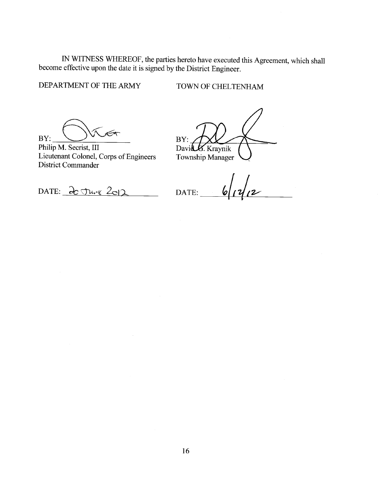IN WITNESS WHEREOF, the parties hereto have executed this Agreement, which shall become effective upon the date it is signed by the District Engineer.

DEPARTMENT OF THE ARMY

TOWN OF CHELTENHAM

 $\overline{\mathscr{K}}$ 

BY:

Philip M. Secrist, III Lieutenant Colonel, Corps of Engineers **District Commander** 

BY: David & Kraynik Township Manager

 $6/14/2$ DATE:

DATE: 20 June 2012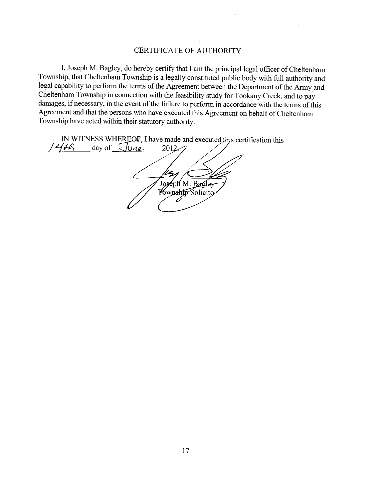## CERTIFICATE OF AUTHORITY

I, Joseph M. Bagley, do hereby certify that I am the principal legal officer of Cheltenham Township, that Cheltenham Township is a legally constituted public body with full authority and legal capability to perform the terms of the Agreement between the Department of the Army and Cheltenham Township in connection with the feasibility study for Tookany Creek, and to pay damages, if necessary, in the event of the failure to perform in accordance with the terms of this Agreement and that the persons who have executed this Agreement on behalf of Cheltenham Township have acted within their statutory authority.

IN WITNESS WHEREOF, I have made and executed this certification this  $146$  day of June  $2012$ Joseph M. Bagley  $\overline{\mathscr{L}}$